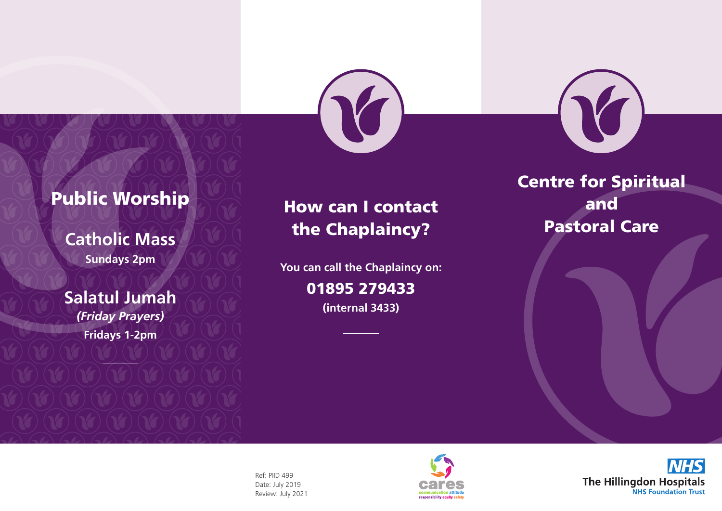



# Public Worship

**Catholic Mass Sundays 2pm**

**Salatul Jumah** *(Friday Prayers)* **Fridays 1-2pm**

## How can I contact the Chaplaincy?

**You can call the Chaplaincy on:** 

### 01895 279433

**(internal 3433)**

Centre for Spiritual and Pastoral Care

Ref: PIID 499 Date: July 2019 Review: July 2021